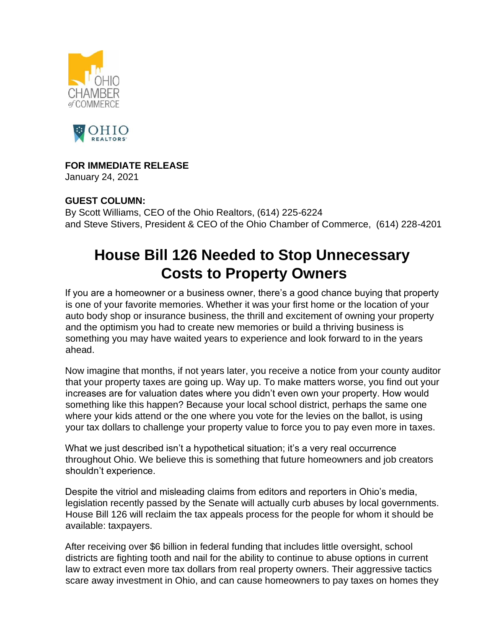



## **FOR IMMEDIATE RELEASE**

January 24, 2021

## **GUEST COLUMN:**

By Scott Williams, CEO of the Ohio Realtors, (614) 225-6224 and Steve Stivers, President & CEO of the Ohio Chamber of Commerce, (614) 228-4201

## **House Bill 126 Needed to Stop Unnecessary Costs to Property Owners**

If you are a homeowner or a business owner, there's a good chance buying that property is one of your favorite memories. Whether it was your first home or the location of your auto body shop or insurance business, the thrill and excitement of owning your property and the optimism you had to create new memories or build a thriving business is something you may have waited years to experience and look forward to in the years ahead.

Now imagine that months, if not years later, you receive a notice from your county auditor that your property taxes are going up. Way up. To make matters worse, you find out your increases are for valuation dates where you didn't even own your property. How would something like this happen? Because your local school district, perhaps the same one where your kids attend or the one where you vote for the levies on the ballot, is using your tax dollars to challenge your property value to force you to pay even more in taxes.

What we just described isn't a hypothetical situation; it's a very real occurrence throughout Ohio. We believe this is something that future homeowners and job creators shouldn't experience.

Despite the vitriol and misleading claims from editors and reporters in Ohio's media, legislation recently passed by the Senate will actually curb abuses by local governments. House Bill 126 will reclaim the tax appeals process for the people for whom it should be available: taxpayers.

After receiving over \$6 billion in federal funding that includes little oversight, school districts are fighting tooth and nail for the ability to continue to abuse options in current law to extract even more tax dollars from real property owners. Their aggressive tactics scare away investment in Ohio, and can cause homeowners to pay taxes on homes they